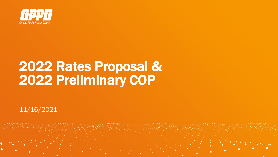

# 2022 Rates Proposal & 2022 Preliminary COP

11/16/2021

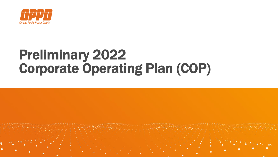

# Preliminary 2022 Corporate Operating Plan (COP)

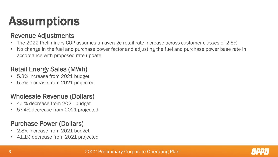## Assumptions

#### Revenue Adjustments

- The 2022 Preliminary COP assumes an average retail rate increase across customer classes of 2.5%
- No change in the fuel and purchase power factor and adjusting the fuel and purchase power base rate in accordance with proposed rate update

#### Retail Energy Sales (MWh)

- 5.3% increase from 2021 budget
- 5.5% increase from 2021 projected

#### Wholesale Revenue (Dollars)

- 4.1% decrease from 2021 budget
- 57.4% decrease from 2021 projected

#### Purchase Power (Dollars)

- 2.8% increase from 2021 budget
- 41.1% decrease from 2021 projected

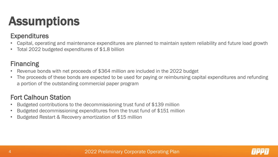# Assumptions

#### **Expenditures**

- Capital, operating and maintenance expenditures are planned to maintain system reliability and future load growth
- Total 2022 budgeted expenditures of \$1.8 billion

#### Financing

- Revenue bonds with net proceeds of \$364 million are included in the 2022 budget
- The proceeds of these bonds are expected to be used for paying or reimbursing capital expenditures and refunding a portion of the outstanding commercial paper program

#### Fort Calhoun Station

- Budgeted contributions to the decommissioning trust fund of \$139 million
- Budgeted decommissioning expenditures from the trust fund of \$151 million
- Budgeted Restart & Recovery amortization of \$15 million

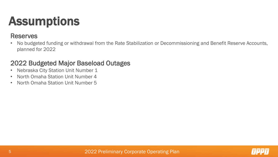## Assumptions

#### Reserves

• No budgeted funding or withdrawal from the Rate Stabilization or Decommissioning and Benefit Reserve Accounts, planned for 2022

#### 2022 Budgeted Major Baseload Outages

- Nebraska City Station Unit Number 1
- North Omaha Station Unit Number 4
- North Omaha Station Unit Number 5

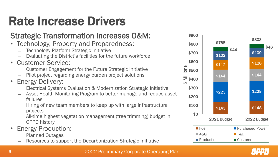# Rate Increase Drivers

#### Strategic Transformation Increases O&M:

- Technology, Property and Preparedness:
	- ̶ Technology Platform Strategic Initiative
	- Evaluating the District's facilities for the future workforce
- Customer Service:
	- ̶ Customer Engagement for the Future Strategic Initiative
	- ̶ Pilot project regarding energy burden project solutions
- **Energy Delivery:** 
	- ̶ Electrical Systems Evaluation & Modernization Strategic Initiative
	- Asset Health Monitoring Program to better manage and reduce asset failures
	- ̶ Hiring of new team members to keep up with large infrastructure projects
	- ̶ All-time highest vegetation management (tree trimming) budget in OPPD history
- Energy Production:
	- ̶ Planned Outages
	- Resources to support the Decarbonization Strategic Initiative



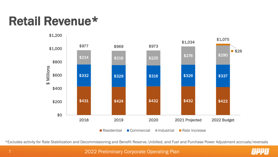### Retail Revenue\*



\*Excludes activity for Rate Stabilization and Decommissioning and Benefit Reserve, Unbilled, and Fuel and Purchase Power Adjustment accruals/reversals

#### 2022 Preliminary Corporate Operating Plan

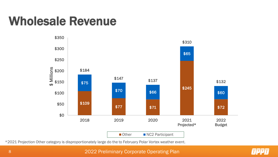### Wholesale Revenue



\*2021 Projection Other category is disproportionately large do the to February Polar Vortex weather event.

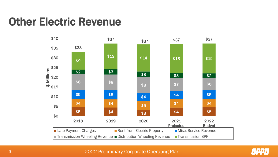#### Other Electric Revenue



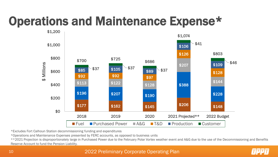## Operations and Maintenance Expense\*



\*Excludes Fort Calhoun Station decommissioning funding and expenditures

\*Operations and Maintenance Expenses presented by FERC accounts, as opposed to business units

\*\*2021 Projection is disproportionately large in Purchased Power due to the February Polar Vortex weather event and A&G due to the use of the Decommissioning and Benefits Reserve Account to fund the Pension Liability.

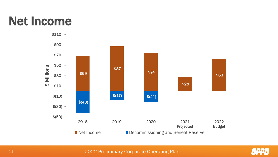### Net Income





2022 Preliminary Corporate Operating Plan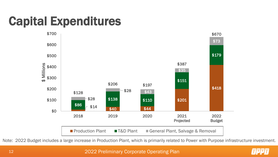# Capital Expenditures



Note: 2022 Budget includes a large increase in Production Plant, which is primarily related to Power with Purpose infrastructure investment.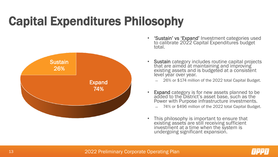# Capital Expenditures Philosophy



- 'Sustain' vs 'Expand' Investment categories used to calibrate 2022 Capital Expenditures budget total.
- Sustain category includes routine capital projects that are aimed at maintaining and improving existing assets and is budgeted at a consistent level year over year.
	- ̶ 26% or \$174 million of the 2022 total Capital Budget.
- Expand category is for new assets planned to be added to the District's asset base, such as the Power with Purpose infrastructure investments.
	- ̶ 74% or \$496 million of the 2022 total Capital Budget.
- This philosophy is important to ensure that existing assets are still receiving sufficient investment at a time when the system is undergoing significant expansion.

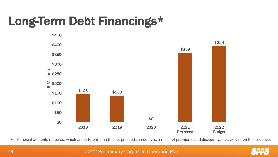# Long-Term Debt Financings\*



\* Principal amounts reflected, which are different than the net proceeds amount, as a result of premiums and discount values yielded on the issuance.

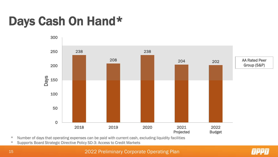### Days Cash On Hand\*



\* Number of days that operating expenses can be paid with current cash, excluding liquidity facilities

\* Supports Board Strategic Directive Policy SD-3: Access to Credit Markets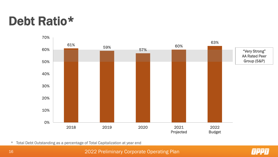#### Debt Ratio\*



\* Total Debt Outstanding as a percentage of Total Capitalization at year end

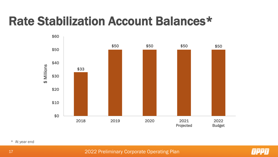#### Rate Stabilization Account Balances\*



\* At year end

2022 Preliminary Corporate Operating Plan

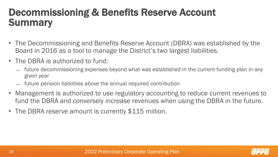#### Decommissioning & Benefits Reserve Account **Summary**

- The Decommissioning and Benefits Reserve Account (DBRA) was established by the Board in 2016 as a tool to manage the District's two largest liabilities.
- The DBRA is authorized to fund:
	- ̶ future decommissioning expenses beyond what was established in the current funding plan in any given year
	- ̶ future pension liabilities above the annual required contribution
- Management is authorized to use regulatory accounting to reduce current revenues to fund the DBRA and conversely increase revenues when using the DBRA in the future.
- The DBRA reserve amount is currently \$115 million.

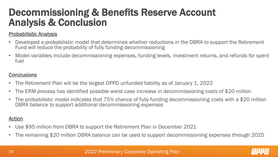#### Decommissioning & Benefits Reserve Account Analysis & Conclusion

#### Probabilistic Analysis

- Developed a probabilistic model that determines whether reductions in the DBRA to support the Retirement Fund will reduce the probability of fully funding decommissioning
- Model variables include decommissioning expenses, funding levels, investment returns, and refunds for spent fuel

#### **Conclusions**

- The Retirement Plan will be the largest OPPD unfunded liability as of January 1, 2022
- The ERM process has identified possible worst case increase in decommissioning costs of \$20 million
- The probabilistic model indicates that 75% chance of fully funding decommissioning costs with a \$20 million DBRA balance to support additional decommissioning expenses

#### Action

- Use \$95 million from DBRA to support the Retirement Plan in December 2021
- The remaining \$20 million DBRA balance can be used to support decommissioning expenses through 2025

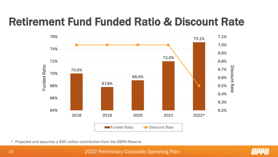#### Retirement Fund Funded Ratio & Discount Rate



\* Projected and assumes a \$95 million contribution from the DBRA Reserve

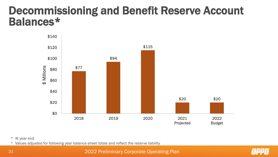#### Decommissioning and Benefit Reserve Account Balances\*



#### \* At year end

\* Values adjusted for following year balance sheet totals and reflect the reserve liability

2022 Preliminary Corporate Operating Plan

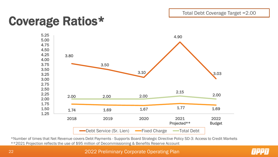#### Coverage Ratios\*



\*Number of times that Net Revenue covers Debt Payments - Supports Board Strategic Directive Policy SD-3: Access to Credit Markets \*\*2021 Projection reflects the use of \$95 million of Decommissioning & Benefits Reserve Account

2022 Preliminary Corporate Operating Plan

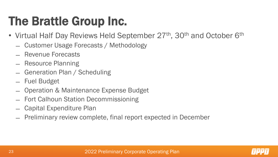## The Brattle Group Inc.

- Virtual Half Day Reviews Held September 27<sup>th</sup>, 30<sup>th</sup> and October 6<sup>th</sup>
	- ̶ Customer Usage Forecasts / Methodology
	- ̶ Revenue Forecasts
	- ̶ Resource Planning
	- ̶ Generation Plan / Scheduling
	- ̶ Fuel Budget
	- ̶ Operation & Maintenance Expense Budget
	- ̶ Fort Calhoun Station Decommissioning
	- ̶ Capital Expenditure Plan
	- ̶ Preliminary review complete, final report expected in December

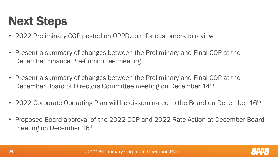# Next Steps

- 2022 Preliminary COP posted on OPPD.com for customers to review
- Present a summary of changes between the Preliminary and Final COP at the December Finance Pre-Committee meeting
- Present a summary of changes between the Preliminary and Final COP at the December Board of Directors Committee meeting on December 14th
- 2022 Corporate Operating Plan will be disseminated to the Board on December 16<sup>th</sup>
- Proposed Board approval of the 2022 COP and 2022 Rate Action at December Board meeting on December 16<sup>th</sup>

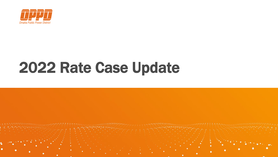

# 2022 Rate Case Update

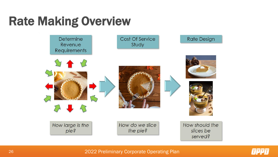### Rate Making Overview





2022 Preliminary Corporate Operating Plan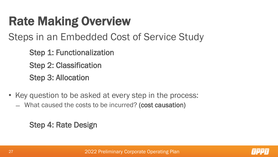# Rate Making Overview

#### Steps in an Embedded Cost of Service Study

Step 1: Functionalization

Step 2: Classification

Step 3: Allocation

- Key question to be asked at every step in the process:
	- ̶ What caused the costs to be incurred? (cost causation)

Step 4: Rate Design

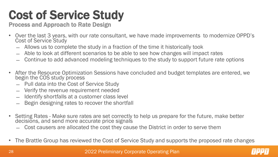# Cost of Service Study

Process and Approach to Rate Design

- Over the last 3 years, with our rate consultant, we have made improvements to modernize OPPD's Cost of Service Study
	- ̶ Allows us to complete the study in a fraction of the time it historically took
	- Able to look at different scenarios to be able to see how changes will impact rates
	- ̶ Continue to add advanced modeling techniques to the study to support future rate options
- After the Resource Optimization Sessions have concluded and budget templates are entered, we begin the COS study process
	- ̶ Pull data into the Cost of Service Study
	- ̶ Verify the revenue requirement needed
	- Identify shortfalls at a customer class level
	- Begin designing rates to recover the shortfall
- Setting Rates Make sure rates are set correctly to help us prepare for the future, make better decisions, and send more accurate price signals
	- ̶ Cost causers are allocated the cost they cause the District in order to serve them
- The Brattle Group has reviewed the Cost of Service Study and supports the proposed rate changes

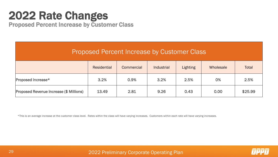#### 2022 Rate Changes

Proposed Percent Increase by Customer Class

| <b>Proposed Percent Increase by Customer Class</b> |                    |                   |            |                 |           |         |
|----------------------------------------------------|--------------------|-------------------|------------|-----------------|-----------|---------|
|                                                    | <b>Residential</b> | <b>Commercial</b> | Industrial | <b>Lighting</b> | Wholesale | Total   |
| Proposed Increase*                                 | 3.2%               | 0.9%              | 3.2%       | 2.5%            | 0%        | 2.5%    |
| <b>Proposed Revenue Increase (\$ Millions)</b>     | 13.49              | 2.81              | 9.26       | 0.43            | 0.00      | \$25.99 |

\*This is an average increase at the customer class level. Rates within the class will have varying increases. Customers within each rate will have varying increases.



2022 Preliminary Corporate Operating Plan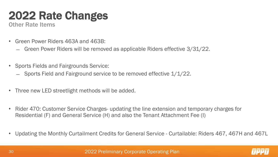### 2022 Rate Changes

Other Rate Items

- Green Power Riders 463A and 463B:
	- ̶ Green Power Riders will be removed as applicable Riders effective 3/31/22.
- Sports Fields and Fairgrounds Service:
	- ̶ Sports Field and Fairground service to be removed effective 1/1/22.
- Three new LED streetlight methods will be added.
- Rider 470: Customer Service Charges- updating the line extension and temporary charges for Residential (F) and General Service (H) and also the Tenant Attachment Fee (I)
- Updating the Monthly Curtailment Credits for General Service Curtailable: Riders 467, 467H and 467L